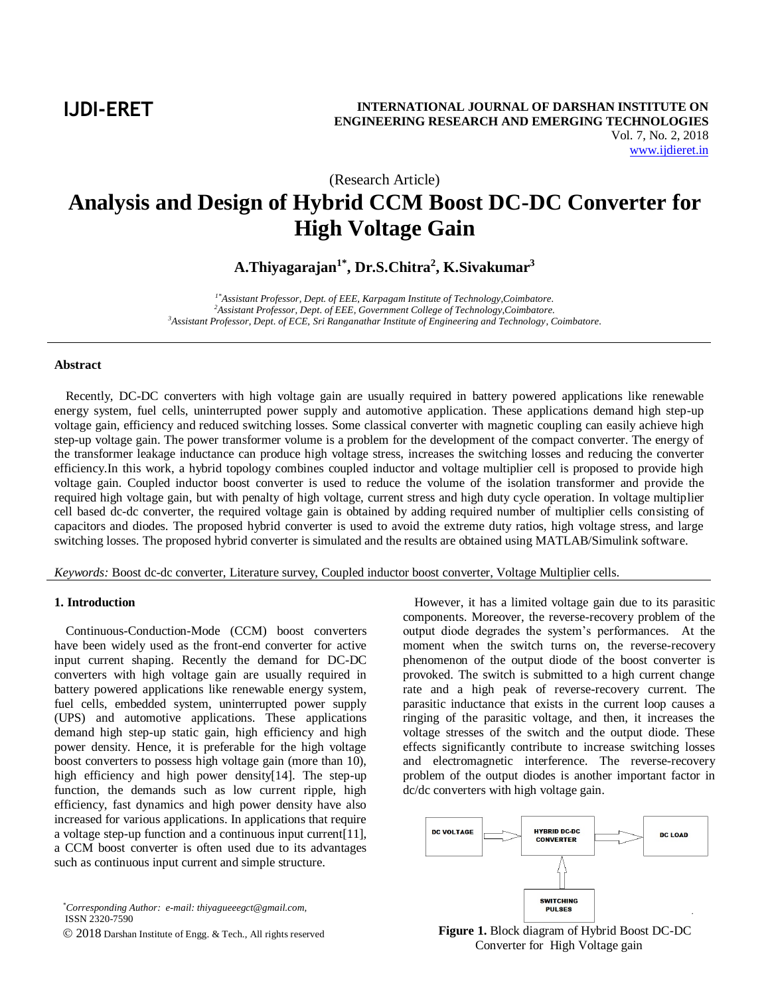**IJDI-ERET**

(Research Article)

# **Analysis and Design of Hybrid CCM Boost DC-DC Converter for High Voltage Gain**

**A.Thiyagarajan1\* , Dr.S.Chitra<sup>2</sup> , K.Sivakumar<sup>3</sup>**

*1\*Assistant Professor, Dept. of EEE, Karpagam Institute of Technology,Coimbatore. <sup>2</sup>Assistant Professor, Dept. of EEE, Government College of Technology,Coimbatore. <sup>3</sup>Assistant Professor, Dept. of ECE, Sri Ranganathar Institute of Engineering and Technology, Coimbatore.*

#### **Abstract**

Recently, DC-DC converters with high voltage gain are usually required in battery powered applications like renewable energy system, fuel cells, uninterrupted power supply and automotive application. These applications demand high step-up voltage gain, efficiency and reduced switching losses. Some classical converter with magnetic coupling can easily achieve high step-up voltage gain. The power transformer volume is a problem for the development of the compact converter. The energy of the transformer leakage inductance can produce high voltage stress, increases the switching losses and reducing the converter efficiency.In this work, a hybrid topology combines coupled inductor and voltage multiplier cell is proposed to provide high voltage gain. Coupled inductor boost converter is used to reduce the volume of the isolation transformer and provide the required high voltage gain, but with penalty of high voltage, current stress and high duty cycle operation. In voltage multiplier cell based dc-dc converter, the required voltage gain is obtained by adding required number of multiplier cells consisting of capacitors and diodes. The proposed hybrid converter is used to avoid the extreme duty ratios, high voltage stress, and large switching losses. The proposed hybrid converter is simulated and the results are obtained using MATLAB/Simulink software.

*Keywords:* Boost dc-dc converter, Literature survey, Coupled inductor boost converter, Voltage Multiplier cells.

#### **1. Introduction**

Continuous-Conduction-Mode (CCM) boost converters have been widely used as the front-end converter for active input current shaping. Recently the demand for DC-DC converters with high voltage gain are usually required in battery powered applications like renewable energy system, fuel cells, embedded system, uninterrupted power supply (UPS) and automotive applications. These applications demand high step-up static gain, high efficiency and high power density. Hence, it is preferable for the high voltage boost converters to possess high voltage gain (more than 10), high efficiency and high power density[14]. The step-up function, the demands such as low current ripple, high efficiency, fast dynamics and high power density have also increased for various applications. In applications that require a voltage step-up function and a continuous input current[11], a CCM boost converter is often used due to its advantages such as continuous input current and simple structure.

*\*Corresponding Author: e-mail: thiyagueeegct@gmail.com,*  ISSN 2320-7590

2018 Darshan Institute of Engg. & Tech., All rights reserved

However, it has a limited voltage gain due to its parasitic components. Moreover, the reverse-recovery problem of the output diode degrades the system's performances. At the moment when the switch turns on, the reverse-recovery phenomenon of the output diode of the boost converter is provoked. The switch is submitted to a high current change rate and a high peak of reverse-recovery current. The parasitic inductance that exists in the current loop causes a ringing of the parasitic voltage, and then, it increases the voltage stresses of the switch and the output diode. These effects significantly contribute to increase switching losses and electromagnetic interference. The reverse-recovery problem of the output diodes is another important factor in dc/dc converters with high voltage gain.



**Figure 1.** Block diagram of Hybrid Boost DC-DC Converter for High Voltage gain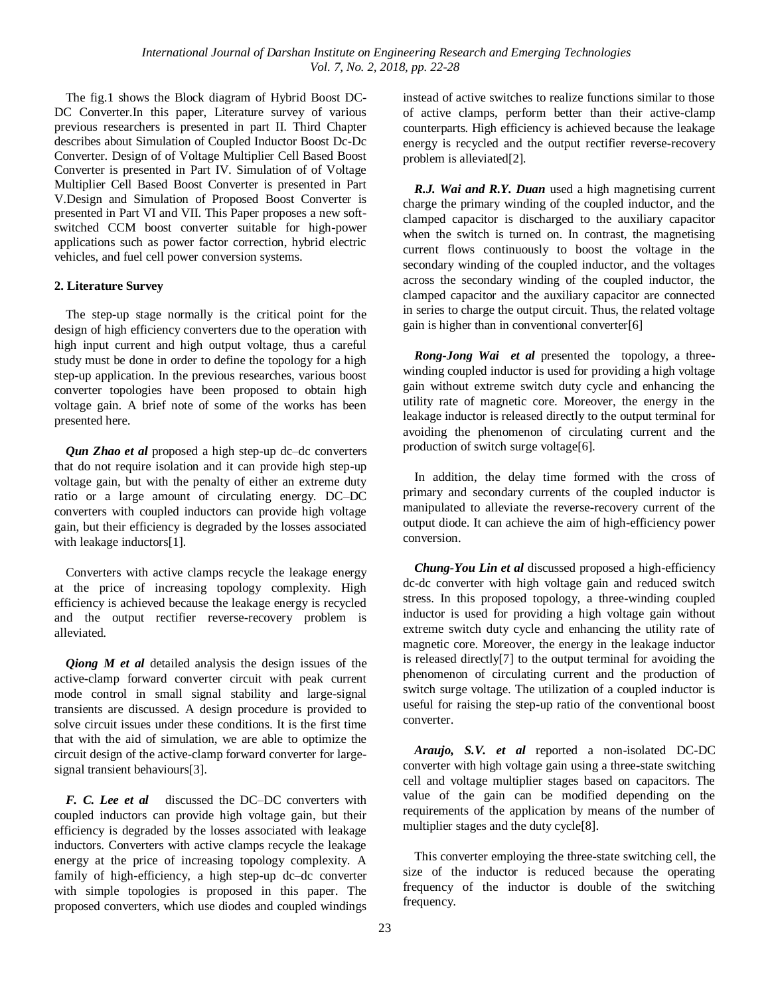The fig.1 shows the Block diagram of Hybrid Boost DC-DC Converter.In this paper, Literature survey of various previous researchers is presented in part II. Third Chapter describes about Simulation of Coupled Inductor Boost Dc-Dc Converter. Design of of Voltage Multiplier Cell Based Boost Converter is presented in Part IV. Simulation of of Voltage Multiplier Cell Based Boost Converter is presented in Part V.Design and Simulation of Proposed Boost Converter is presented in Part VI and VII. This Paper proposes a new softswitched CCM boost converter suitable for high-power applications such as power factor correction, hybrid electric vehicles, and fuel cell power conversion systems.

# **2. Literature Survey**

The step-up stage normally is the critical point for the design of high efficiency converters due to the operation with high input current and high output voltage, thus a careful study must be done in order to define the topology for a high step-up application. In the previous researches, various boost converter topologies have been proposed to obtain high voltage gain. A brief note of some of the works has been presented here.

*Qun Zhao et al* proposed a high step-up dc–dc converters that do not require isolation and it can provide high step-up voltage gain, but with the penalty of either an extreme duty ratio or a large amount of circulating energy. DC–DC converters with coupled inductors can provide high voltage gain, but their efficiency is degraded by the losses associated with leakage inductors[1].

Converters with active clamps recycle the leakage energy at the price of increasing topology complexity. High efficiency is achieved because the leakage energy is recycled and the output rectifier reverse-recovery problem is alleviated.

*Qiong M et al* detailed analysis the design issues of the active-clamp forward converter circuit with peak current mode control in small signal stability and large-signal transients are discussed. A design procedure is provided to solve circuit issues under these conditions. It is the first time that with the aid of simulation, we are able to optimize the circuit design of the active-clamp forward converter for largesignal transient behaviours[3].

*F. C. Lee et al* discussed the DC–DC converters with coupled inductors can provide high voltage gain, but their efficiency is degraded by the losses associated with leakage inductors. Converters with active clamps recycle the leakage energy at the price of increasing topology complexity. A family of high-efficiency, a high step-up dc–dc converter with simple topologies is proposed in this paper. The proposed converters, which use diodes and coupled windings instead of active switches to realize functions similar to those of active clamps, perform better than their active-clamp counterparts. High efficiency is achieved because the leakage energy is recycled and the output rectifier reverse-recovery problem is alleviated[2].

*R.J. Wai and R.Y. Duan* used a high magnetising current charge the primary winding of the coupled inductor, and the clamped capacitor is discharged to the auxiliary capacitor when the switch is turned on. In contrast, the magnetising current flows continuously to boost the voltage in the secondary winding of the coupled inductor, and the voltages across the secondary winding of the coupled inductor, the clamped capacitor and the auxiliary capacitor are connected in series to charge the output circuit. Thus, the related voltage gain is higher than in conventional converter[6]

*Rong-Jong Wai et al* presented the topology, a threewinding coupled inductor is used for providing a high voltage gain without extreme switch duty cycle and enhancing the utility rate of magnetic core. Moreover, the energy in the leakage inductor is released directly to the output terminal for avoiding the phenomenon of circulating current and the production of switch surge voltage[6].

In addition, the delay time formed with the cross of primary and secondary currents of the coupled inductor is manipulated to alleviate the reverse-recovery current of the output diode. It can achieve the aim of high-efficiency power conversion.

*Chung-You Lin et al* discussed proposed a high-efficiency dc-dc converter with high voltage gain and reduced switch stress. In this proposed topology, a three-winding coupled inductor is used for providing a high voltage gain without extreme switch duty cycle and enhancing the utility rate of magnetic core. Moreover, the energy in the leakage inductor is released directly[7] to the output terminal for avoiding the phenomenon of circulating current and the production of switch surge voltage. The utilization of a coupled inductor is useful for raising the step-up ratio of the conventional boost converter.

*Araujo, S.V. et al* reported a non-isolated DC-DC converter with high voltage gain using a three-state switching cell and voltage multiplier stages based on capacitors. The value of the gain can be modified depending on the requirements of the application by means of the number of multiplier stages and the duty cycle[8].

This converter employing the three-state switching cell, the size of the inductor is reduced because the operating frequency of the inductor is double of the switching frequency.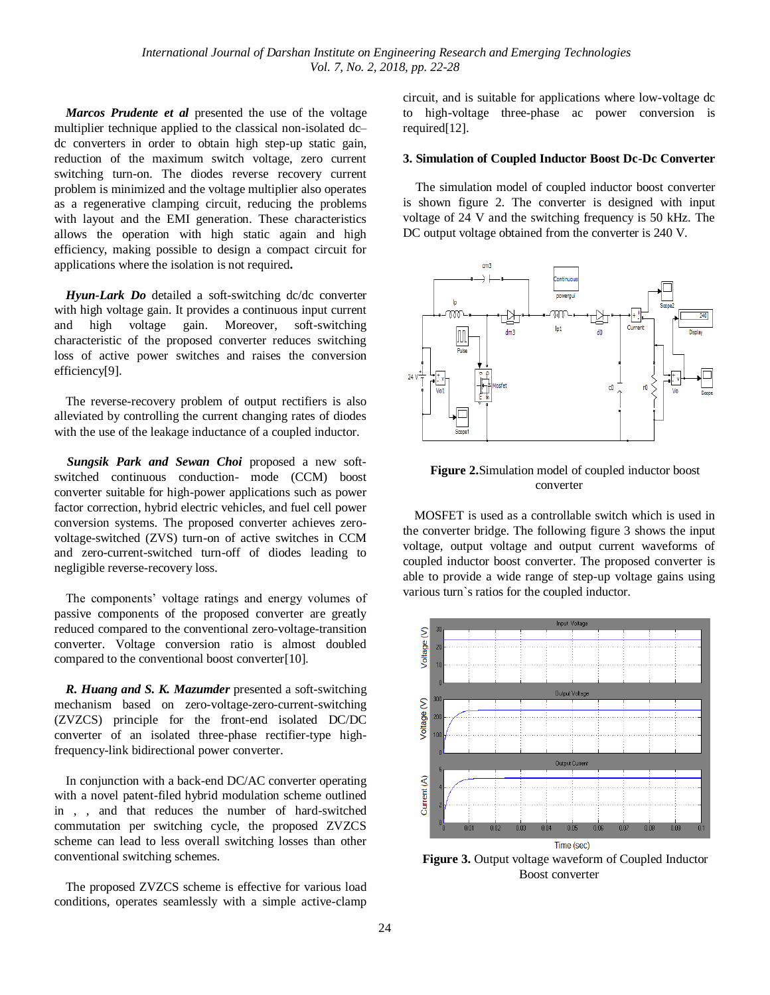*Marcos Prudente et al* presented the use of the voltage multiplier technique applied to the classical non-isolated dc– dc converters in order to obtain high step-up static gain, reduction of the maximum switch voltage, zero current switching turn-on. The diodes reverse recovery current problem is minimized and the voltage multiplier also operates as a regenerative clamping circuit, reducing the problems with layout and the EMI generation. These characteristics allows the operation with high static again and high efficiency, making possible to design a compact circuit for applications where the isolation is not required**.**

*Hyun-Lark Do* detailed a soft-switching dc/dc converter with high voltage gain. It provides a continuous input current and high voltage gain. Moreover, soft-switching characteristic of the proposed converter reduces switching loss of active power switches and raises the conversion efficiency[9].

The reverse-recovery problem of output rectifiers is also alleviated by controlling the current changing rates of diodes with the use of the leakage inductance of a coupled inductor.

*Sungsik Park and Sewan Choi* proposed a new softswitched continuous conduction- mode (CCM) boost converter suitable for high-power applications such as power factor correction, hybrid electric vehicles, and fuel cell power conversion systems. The proposed converter achieves zerovoltage-switched (ZVS) turn-on of active switches in CCM and zero-current-switched turn-off of diodes leading to negligible reverse-recovery loss.

The components' voltage ratings and energy volumes of passive components of the proposed converter are greatly reduced compared to the conventional zero-voltage-transition converter. Voltage conversion ratio is almost doubled compared to the conventional boost converter[10].

*R. Huang and S. K. Mazumder* presented a soft-switching mechanism based on zero-voltage-zero-current-switching (ZVZCS) principle for the front-end isolated DC/DC converter of an isolated three-phase rectifier-type highfrequency-link bidirectional power converter.

In conjunction with a back-end DC/AC converter operating with a novel patent-filed hybrid modulation scheme outlined in , , and that reduces the number of hard-switched commutation per switching cycle, the proposed ZVZCS scheme can lead to less overall switching losses than other conventional switching schemes.

The proposed ZVZCS scheme is effective for various load conditions, operates seamlessly with a simple active-clamp

circuit, and is suitable for applications where low-voltage dc to high-voltage three-phase ac power conversion is required[12].

## **3. Simulation of Coupled Inductor Boost Dc-Dc Converter**

The simulation model of coupled inductor boost converter is shown figure 2. The converter is designed with input voltage of 24 V and the switching frequency is 50 kHz. The DC output voltage obtained from the converter is 240 V.



**Figure 2.**Simulation model of coupled inductor boost converter

MOSFET is used as a controllable switch which is used in the converter bridge. The following figure 3 shows the input voltage, output voltage and output current waveforms of coupled inductor boost converter. The proposed converter is able to provide a wide range of step-up voltage gains using various turn`s ratios for the coupled inductor.



**Figure 3.** Output voltage waveform of Coupled Inductor Boost converter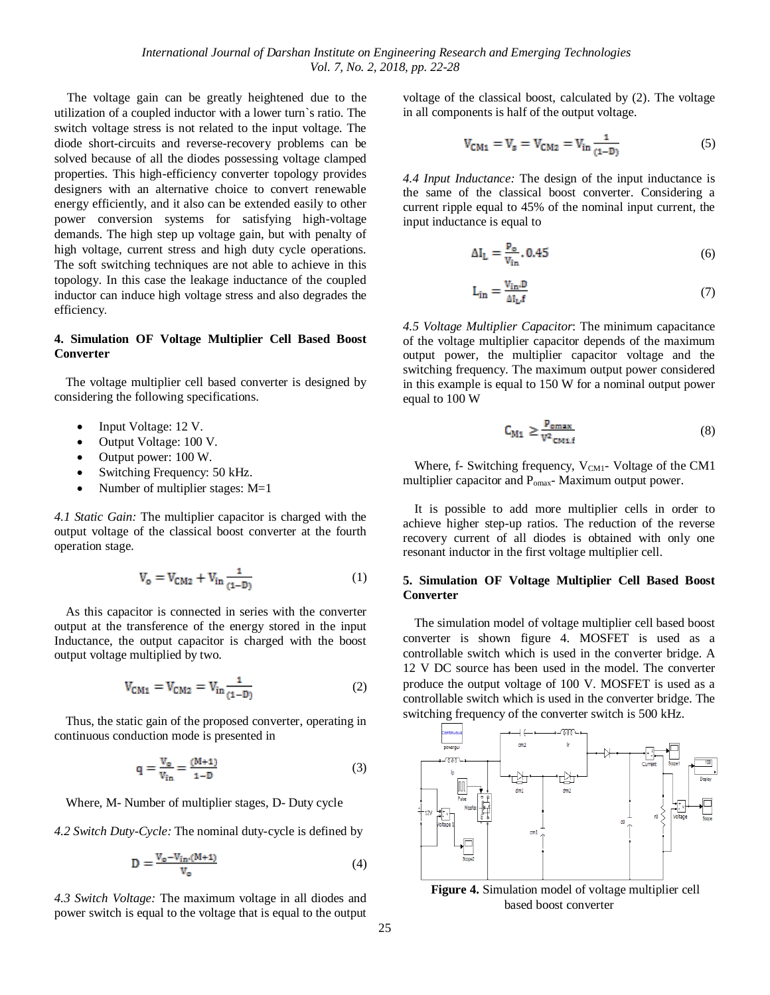The voltage gain can be greatly heightened due to the utilization of a coupled inductor with a lower turn`s ratio. The switch voltage stress is not related to the input voltage. The diode short-circuits and reverse-recovery problems can be solved because of all the diodes possessing voltage clamped properties. This high-efficiency converter topology provides designers with an alternative choice to convert renewable energy efficiently, and it also can be extended easily to other power conversion systems for satisfying high-voltage demands. The high step up voltage gain, but with penalty of high voltage, current stress and high duty cycle operations. The soft switching techniques are not able to achieve in this topology. In this case the leakage inductance of the coupled inductor can induce high voltage stress and also degrades the efficiency.

# **4. Simulation OF Voltage Multiplier Cell Based Boost Converter**

The voltage multiplier cell based converter is designed by considering the following specifications.

- Input Voltage: 12 V.
- Output Voltage: 100 V.
- Output power: 100 W.
- Switching Frequency: 50 kHz.
- Number of multiplier stages: M=1

*4.1 Static Gain:* The multiplier capacitor is charged with the output voltage of the classical boost converter at the fourth operation stage.

$$
V_o = V_{CM2} + V_{in} \frac{1}{(1-D)}
$$
 (1)

As this capacitor is connected in series with the converter output at the transference of the energy stored in the input Inductance, the output capacitor is charged with the boost output voltage multiplied by two.

$$
V_{CM1} = V_{CM2} = V_{in} \frac{1}{(1-D)}
$$
 (2)

Thus, the static gain of the proposed converter, operating in continuous conduction mode is presented in

$$
q = \frac{V_o}{V_{in}} = \frac{(M+1)}{1-D}
$$
 (3)

Where, M- Number of multiplier stages, D- Duty cycle

*4.2 Switch Duty-Cycle:* The nominal duty-cycle is defined by

$$
D = \frac{V_o - V_{in} (M+1)}{V_o}
$$
 (4)

*4.3 Switch Voltage:* The maximum voltage in all diodes and power switch is equal to the voltage that is equal to the output voltage of the classical boost, calculated by (2). The voltage in all components is half of the output voltage.

$$
V_{\rm CM1} = V_{\rm s} = V_{\rm CM2} = V_{\rm in} \frac{1}{(1-D)}\tag{5}
$$

*4.4 Input Inductance:* The design of the input inductance is the same of the classical boost converter. Considering a current ripple equal to 45% of the nominal input current, the input inductance is equal to

$$
\Delta I_{L} = \frac{P_o}{V_{in}} \cdot 0.45
$$
\n<sup>(6)</sup>

$$
L_{in} = \frac{V_{in} D}{\Delta I_{L} f}
$$
 (7)

*4.5 Voltage Multiplier Capacitor*: The minimum capacitance of the voltage multiplier capacitor depends of the maximum output power, the multiplier capacitor voltage and the switching frequency. The maximum output power considered in this example is equal to 150 W for a nominal output power equal to 100 W

$$
C_{M1} \ge \frac{P_{\text{omax}}}{v^2 \text{cm} \cdot t} \tag{8}
$$

Where, f- Switching frequency,  $V_{CM1}$ - Voltage of the CM1 multiplier capacitor and P<sub>omax</sub>-Maximum output power.

It is possible to add more multiplier cells in order to achieve higher step-up ratios. The reduction of the reverse recovery current of all diodes is obtained with only one resonant inductor in the first voltage multiplier cell.

## **5. Simulation OF Voltage Multiplier Cell Based Boost Converter**

The simulation model of voltage multiplier cell based boost converter is shown figure 4. MOSFET is used as a controllable switch which is used in the converter bridge. A 12 V DC source has been used in the model. The converter produce the output voltage of 100 V. MOSFET is used as a controllable switch which is used in the converter bridge. The switching frequency of the converter switch is 500 kHz.



**Figure 4.** Simulation model of voltage multiplier cell based boost converter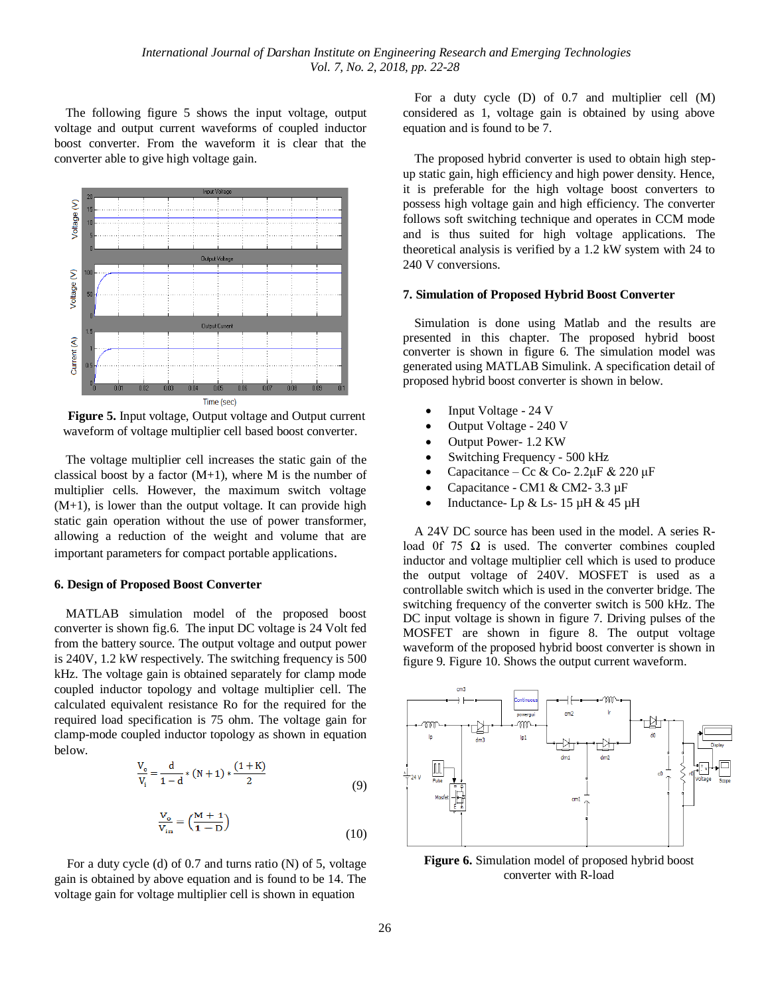The following figure 5 shows the input voltage, output voltage and output current waveforms of coupled inductor boost converter. From the waveform it is clear that the converter able to give high voltage gain.



**Figure 5.** Input voltage, Output voltage and Output current waveform of voltage multiplier cell based boost converter.

The voltage multiplier cell increases the static gain of the classical boost by a factor  $(M+1)$ , where M is the number of multiplier cells. However, the maximum switch voltage  $(M+1)$ , is lower than the output voltage. It can provide high static gain operation without the use of power transformer, allowing a reduction of the weight and volume that are important parameters for compact portable applications.

#### **6. Design of Proposed Boost Converter**

MATLAB simulation model of the proposed boost converter is shown fig.6. The input DC voltage is 24 Volt fed from the battery source. The output voltage and output power is 240V, 1.2 kW respectively. The switching frequency is 500 kHz. The voltage gain is obtained separately for clamp mode coupled inductor topology and voltage multiplier cell. The calculated equivalent resistance Ro for the required for the required load specification is 75 ohm. The voltage gain for clamp-mode coupled inductor topology as shown in equation below.

$$
\frac{V_o}{V_i} = \frac{d}{1 - d} * (N + 1) * \frac{(1 + K)}{2}
$$
\n(9)

$$
\frac{V_o}{V_{in}} = \left(\frac{M+1}{1-D}\right)
$$
\n(10)

For a duty cycle (d) of 0.7 and turns ratio (N) of 5, voltage gain is obtained by above equation and is found to be 14. The voltage gain for voltage multiplier cell is shown in equation

For a duty cycle (D) of 0.7 and multiplier cell (M) considered as 1, voltage gain is obtained by using above equation and is found to be 7.

The proposed hybrid converter is used to obtain high stepup static gain, high efficiency and high power density. Hence, it is preferable for the high voltage boost converters to possess high voltage gain and high efficiency. The converter follows soft switching technique and operates in CCM mode and is thus suited for high voltage applications. The theoretical analysis is verified by a 1.2 kW system with 24 to 240 V conversions.

#### **7. Simulation of Proposed Hybrid Boost Converter**

Simulation is done using Matlab and the results are presented in this chapter. The proposed hybrid boost converter is shown in figure 6. The simulation model was generated using MATLAB Simulink. A specification detail of proposed hybrid boost converter is shown in below.

- Input Voltage 24 V
- Output Voltage 240 V
- Output Power- 1.2 KW
- Switching Frequency 500 kHz
- Capacitance Cc & Co- 2.2μF & 220 μF
- Capacitance CM1 & CM2- 3.3 µF
- Inductance- Lp & Ls- 15 µH & 45 µH

A 24V DC source has been used in the model. A series Rload 0f 75  $\Omega$  is used. The converter combines coupled inductor and voltage multiplier cell which is used to produce the output voltage of 240V. MOSFET is used as a controllable switch which is used in the converter bridge. The switching frequency of the converter switch is 500 kHz. The DC input voltage is shown in figure 7. Driving pulses of the MOSFET are shown in figure 8. The output voltage waveform of the proposed hybrid boost converter is shown in figure 9. Figure 10. Shows the output current waveform.



**Figure 6.** Simulation model of proposed hybrid boost converter with R-load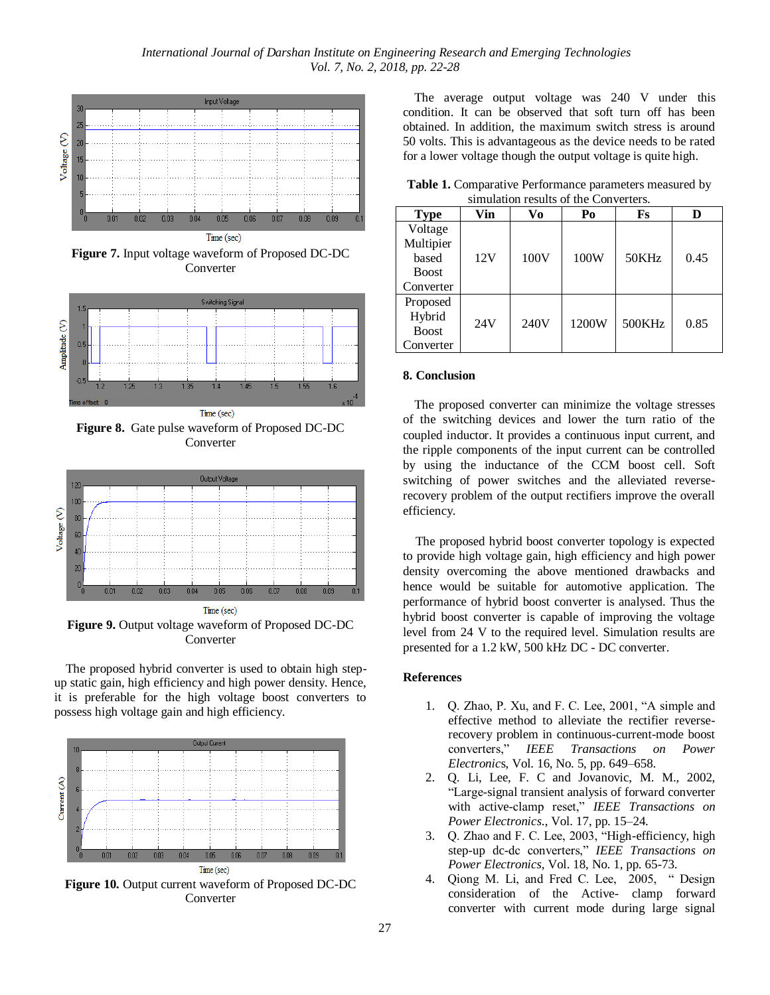

**Figure 7.** Input voltage waveform of Proposed DC-DC Converter



**Figure 8.** Gate pulse waveform of Proposed DC-DC Converter



**Figure 9.** Output voltage waveform of Proposed DC-DC Converter

The proposed hybrid converter is used to obtain high stepup static gain, high efficiency and high power density. Hence, it is preferable for the high voltage boost converters to possess high voltage gain and high efficiency.



The average output voltage was 240 V under this condition. It can be observed that soft turn off has been obtained. In addition, the maximum switch stress is around 50 volts. This is advantageous as the device needs to be rated for a lower voltage though the output voltage is quite high.

| <b>Table 1:</b> Comparative I critituative parameters incasting by<br>simulation results of the Converters. |     |     |    |    |  |  |  |  |  |
|-------------------------------------------------------------------------------------------------------------|-----|-----|----|----|--|--|--|--|--|
| <b>Type</b>                                                                                                 | Vin | Vo- | Po | Fs |  |  |  |  |  |
| Voltage                                                                                                     |     |     |    |    |  |  |  |  |  |

**Table 1.** Comparative Performance parameters measured by

| <b>Type</b>                                     | Vin | Vo   | Po    | Fs     |      |
|-------------------------------------------------|-----|------|-------|--------|------|
| Voltage<br>Multipier<br>based<br><b>Boost</b>   | 12V | 100V | 100W  | 50KHz  | 0.45 |
| Converter                                       |     |      |       |        |      |
| Proposed<br>Hybrid<br><b>Boost</b><br>Converter | 24V | 240V | 1200W | 500KHz | 0.85 |

#### **8. Conclusion**

The proposed converter can minimize the voltage stresses of the switching devices and lower the turn ratio of the coupled inductor. It provides a continuous input current, and the ripple components of the input current can be controlled by using the inductance of the CCM boost cell. Soft switching of power switches and the alleviated reverserecovery problem of the output rectifiers improve the overall efficiency.

The proposed hybrid boost converter topology is expected to provide high voltage gain, high efficiency and high power density overcoming the above mentioned drawbacks and hence would be suitable for automotive application. The performance of hybrid boost converter is analysed. Thus the hybrid boost converter is capable of improving the voltage level from 24 V to the required level. Simulation results are presented for a 1.2 kW, 500 kHz DC - DC converter.

# **References**

- 1. Q. Zhao, P. Xu, and F. C. Lee, 2001, "A simple and effective method to alleviate the rectifier reverserecovery problem in continuous-current-mode boost converters," *IEEE Transactions on Power Electronic*s, Vol. 16, No. 5, pp. 649–658.
- 2. Q. Li, Lee, F. C and Jovanovic, M. M., 2002, "Large-signal transient analysis of forward converter with active-clamp reset," *IEEE Transactions on Power Electronics*., Vol. 17, pp. 15–24.
- 3. Q. Zhao and F. C. Lee, 2003, "High-efficiency, high step-up dc-dc converters," *IEEE Transactions on Power Electronics*, Vol. 18, No. 1, pp. 65-73.
- 4. Qiong M. Li, and Fred C. Lee, 2005, " Design consideration of the Active- clamp forward converter with current mode during large signal